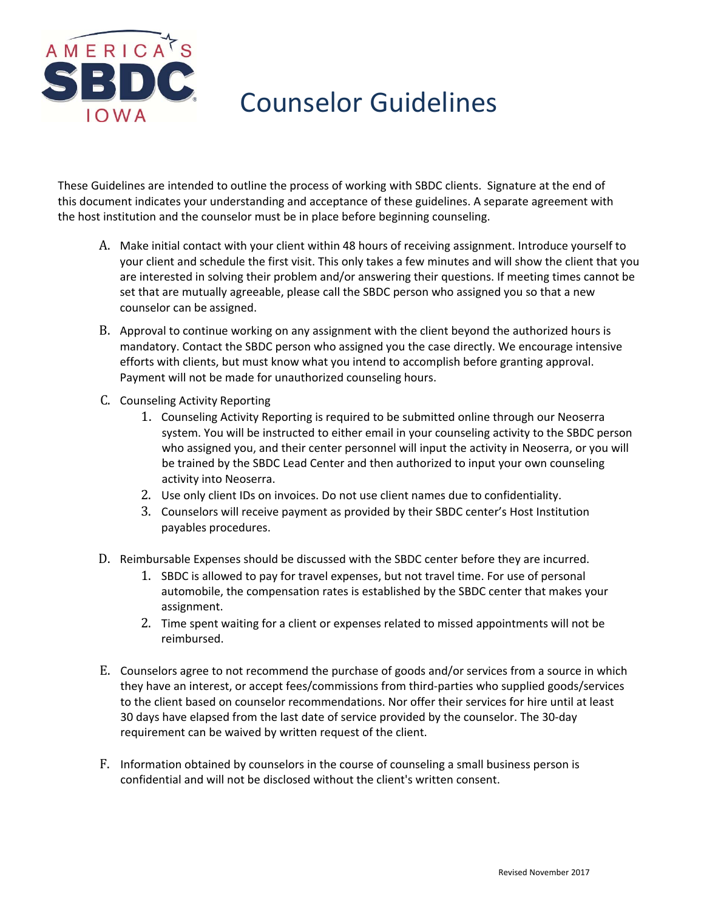

# Counselor Guidelines

These Guidelines are intended to outline the process of working with SBDC clients. Signature at the end of this document indicates your understanding and acceptance of these guidelines. A separate agreement with the host institution and the counselor must be in place before beginning counseling.

- A. Make initial contact with your client within 48 hours of receiving assignment. Introduce yourself to your client and schedule the first visit. This only takes a few minutes and will show the client that you are interested in solving their problem and/or answering their questions. If meeting times cannot be set that are mutually agreeable, please call the SBDC person who assigned you so that a new counselor can be assigned.
- B. Approval to continue working on any assignment with the client beyond the authorized hours is mandatory. Contact the SBDC person who assigned you the case directly. We encourage intensive efforts with clients, but must know what you intend to accomplish before granting approval. Payment will not be made for unauthorized counseling hours.
- C. Counseling Activity Reporting
	- 1. Counseling Activity Reporting is required to be submitted online through our Neoserra system. You will be instructed to either email in your counseling activity to the SBDC person who assigned you, and their center personnel will input the activity in Neoserra, or you will be trained by the SBDC Lead Center and then authorized to input your own counseling activity into Neoserra.
	- 2. Use only client IDs on invoices. Do not use client names due to confidentiality.
	- 3. Counselors will receive payment as provided by their SBDC center's Host Institution payables procedures.
- D. Reimbursable Expenses should be discussed with the SBDC center before they are incurred.
	- 1. SBDC is allowed to pay for travel expenses, but not travel time. For use of personal automobile, the compensation rates is established by the SBDC center that makes your assignment.
	- 2. Time spent waiting for a client or expenses related to missed appointments will not be reimbursed.
- E. Counselors agree to not recommend the purchase of goods and/or services from a source in which they have an interest, or accept fees/commissions from third‐parties who supplied goods/services to the client based on counselor recommendations. Nor offer their services for hire until at least 30 days have elapsed from the last date of service provided by the counselor. The 30‐day requirement can be waived by written request of the client.
- F. Information obtained by counselors in the course of counseling a small business person is confidential and will not be disclosed without the client's written consent.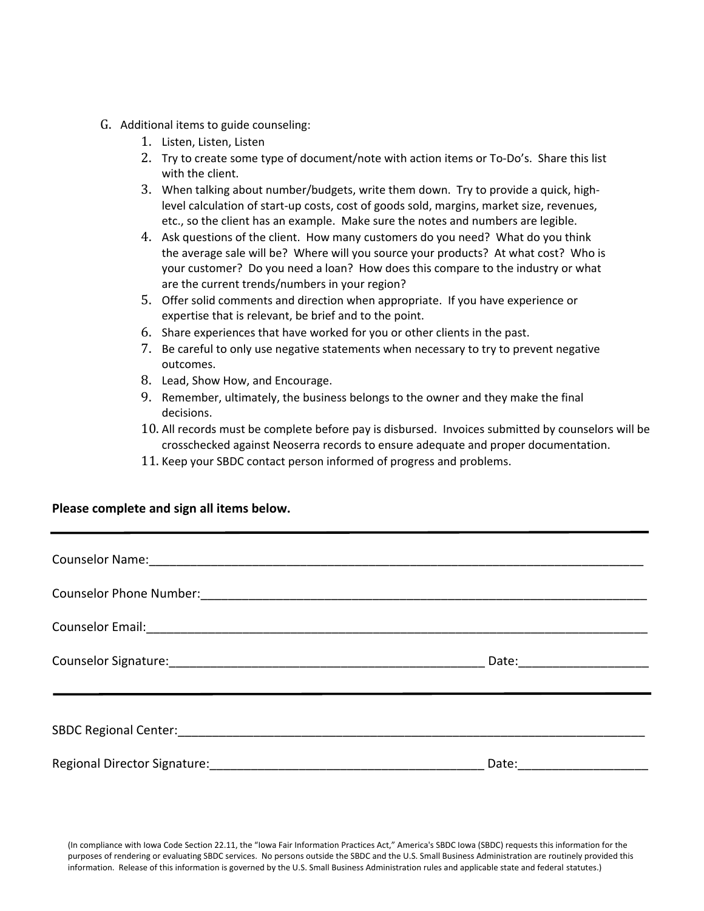- G. Additional items to guide counseling:
	- 1. Listen, Listen, Listen
	- 2. Try to create some type of document/note with action items or To‐Do's. Share this list with the client.
	- 3. When talking about number/budgets, write them down. Try to provide a quick, high‐ level calculation of start‐up costs, cost of goods sold, margins, market size, revenues, etc., so the client has an example. Make sure the notes and numbers are legible.
	- 4. Ask questions of the client. How many customers do you need? What do you think the average sale will be? Where will you source your products? At what cost? Who is your customer? Do you need a loan? How does this compare to the industry or what are the current trends/numbers in your region?
	- 5. Offer solid comments and direction when appropriate. If you have experience or expertise that is relevant, be brief and to the point.
	- 6. Share experiences that have worked for you or other clients in the past.
	- 7. Be careful to only use negative statements when necessary to try to prevent negative outcomes.
	- 8. Lead, Show How, and Encourage.
	- 9. Remember, ultimately, the business belongs to the owner and they make the final decisions.
	- 10. All records must be complete before pay is disbursed. Invoices submitted by counselors will be crosschecked against Neoserra records to ensure adequate and proper documentation.
	- 11. Keep your SBDC contact person informed of progress and problems.

#### **Please complete and sign all items below.**

| Counselor Email: 2008 - 2010 - 2010 - 2010 - 2010 - 2010 - 2010 - 2010 - 2010 - 2010 - 2010 - 2010 - 2010 - 20 |  |
|----------------------------------------------------------------------------------------------------------------|--|
|                                                                                                                |  |
|                                                                                                                |  |
| Regional Director Signature: Management Control of the Regional Director Signature:                            |  |

(In compliance with Iowa Code Section 22.11, the "Iowa Fair Information Practices Act," America's SBDC Iowa (SBDC) requests this information for the purposes of rendering or evaluating SBDC services. No persons outside the SBDC and the U.S. Small Business Administration are routinely provided this information. Release of this information is governed by the U.S. Small Business Administration rules and applicable state and federal statutes.)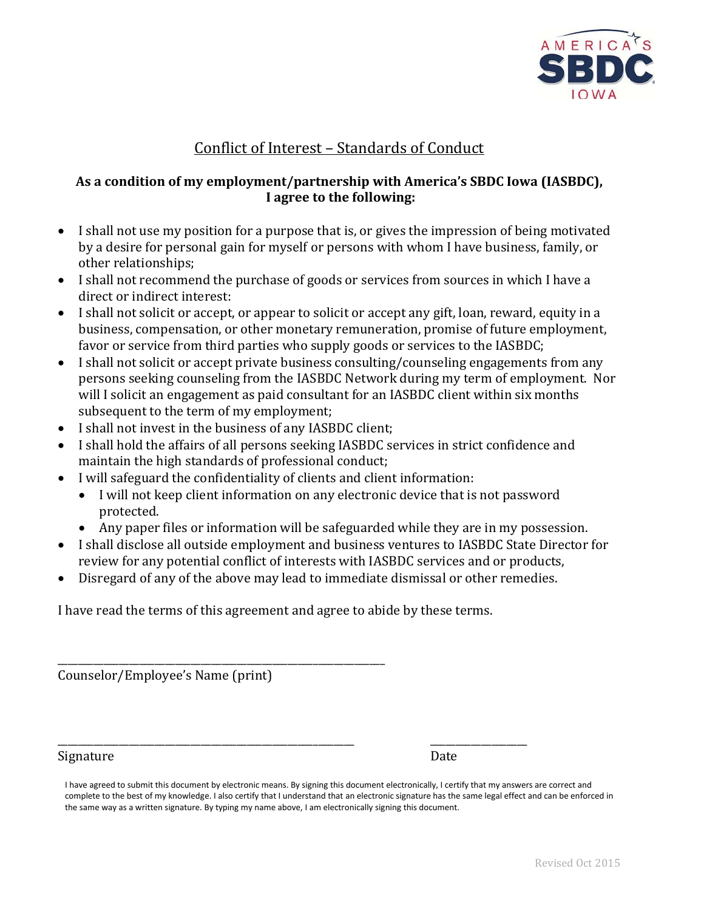

# Conflict of Interest – Standards of Conduct

#### **As a condition of my employment/partnership with America's SBDC Iowa (IASBDC), I agree to the following:**

- I shall not use my position for a purpose that is, or gives the impression of being motivated by a desire for personal gain for myself or persons with whom I have business, family, or other relationships;
- I shall not recommend the purchase of goods or services from sources in which I have a direct or indirect interest:
- I shall not solicit or accept, or appear to solicit or accept any gift, loan, reward, equity in a business, compensation, or other monetary remuneration, promise of future employment, favor or service from third parties who supply goods or services to the IASBDC;
- I shall not solicit or accept private business consulting/counseling engagements from any persons seeking counseling from the IASBDC Network during my term of employment. Nor will I solicit an engagement as paid consultant for an IASBDC client within six months subsequent to the term of my employment;
- I shall not invest in the business of any IASBDC client;
- I shall hold the affairs of all persons seeking IASBDC services in strict confidence and maintain the high standards of professional conduct;
- I will safeguard the confidentiality of clients and client information:
	- I will not keep client information on any electronic device that is not password protected.
	- Any paper files or information will be safeguarded while they are in my possession.
- I shall disclose all outside employment and business ventures to IASBDC State Director for review for any potential conflict of interests with IASBDC services and or products,
- Disregard of any of the above may lead to immediate dismissal or other remedies.

I have read the terms of this agreement and agree to abide by these terms.

\_\_\_\_\_\_\_\_\_\_\_\_\_\_\_\_\_\_\_\_\_\_\_\_\_\_\_\_\_\_\_\_\_\_\_\_\_\_\_\_\_\_\_\_\_\_\_\_\_\_\_\_\_\_\_\_\_\_\_\_\_\_\_\_ Counselor/Employee's Name (print)

\_\_\_\_\_\_\_\_\_\_\_\_\_\_\_\_\_\_\_\_\_\_\_\_\_\_\_\_\_\_\_\_\_\_\_\_\_\_\_\_\_\_\_\_\_\_\_\_\_\_\_\_\_\_\_\_\_\_ \_\_\_\_\_\_\_\_\_\_\_\_\_\_\_\_\_\_\_ Signature Date

I have agreed to submit this document by electronic means. By signing this document electronically, I certify that my answers are correct and complete to the best of my knowledge. I also certify that I understand that an electronic signature has the same legal effect and can be enforced in the same way as a written signature. By typing my name above, I am electronically signing this document.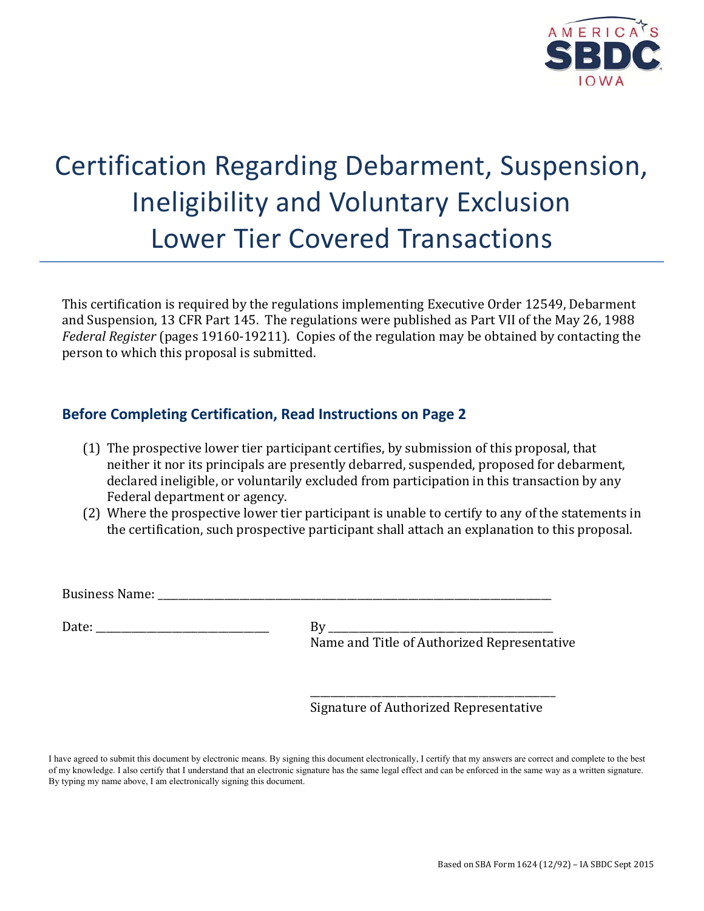

# Certification Regarding Debarment, Suspension, Ineligibility and Voluntary Exclusion Lower Tier Covered Transactions

This certification is required by the regulations implementing Executive Order 12549, Debarment and Suspension, 13 CFR Part 145. The regulations were published as Part VII of the May 26, 1988 *Federal Register* (pages 19160-19211). Copies of the regulation may be obtained by contacting the person to which this proposal is submitted.

### **Before Completing Certification, Read Instructions on Page 2**

- (1) The prospective lower tier participant certifies, by submission of this proposal, that neither it nor its principals are presently debarred, suspended, proposed for debarment, declared ineligible, or voluntarily excluded from participation in this transaction by any Federal department or agency.
- (2) Where the prospective lower tier participant is unable to certify to any of the statements in the certification, such prospective participant shall attach an explanation to this proposal.

Business Name:

Date: \_\_\_\_\_\_\_\_\_\_\_\_\_\_\_\_\_\_\_\_\_\_\_\_\_\_\_\_\_\_\_\_\_\_ By \_\_\_\_\_\_\_\_\_\_\_\_\_\_\_\_\_\_\_\_\_\_\_\_\_\_\_\_\_\_\_\_\_\_\_\_\_\_\_\_\_\_\_\_

Name and Title of Authorized Representative

\_\_\_\_\_\_\_\_\_\_\_\_\_\_\_\_\_\_\_\_\_\_\_\_\_\_\_\_\_\_\_\_\_\_\_\_\_\_\_\_\_\_\_\_\_\_\_\_ Signature of Authorized Representative

I have agreed to submit this document by electronic means. By signing this document electronically, I certify that my answers are correct and complete to the best of my knowledge. I also certify that I understand that an electronic signature has the same legal effect and can be enforced in the same way as a written signature. By typing my name above, I am electronically signing this document.